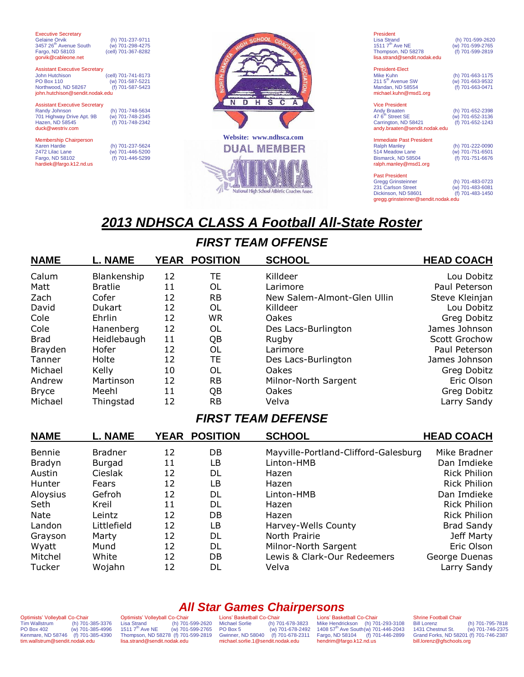| <b>Executive Secretary</b><br><b>Gelaine Orvik</b> | (h) 701-237-9711    |    |
|----------------------------------------------------|---------------------|----|
| 3457 26 <sup>th</sup> Avenue South                 | (w) 701-298-4275    |    |
| Fargo, ND 58103                                    | (cell) 701-367-8282 |    |
| gorvik@cableone.net                                |                     |    |
|                                                    |                     |    |
| <b>Assistant Executive Secretary</b>               |                     |    |
| John Hutchison                                     | (cell) 701-741-8173 |    |
| <b>PO Box 110</b>                                  | (w) 701-587-5221    |    |
| Northwood. ND 58267                                | (f) 701-587-5423    |    |
| john.hutchison@sendit.nodak.edu                    |                     |    |
|                                                    |                     |    |
| <b>Assistant Executive Secretary</b>               |                     |    |
| Randy Johnson                                      | (h) 701-748-5634    |    |
| 701 Highway Drive Apt. 9B                          | (w) 701-748-2345    |    |
| Hazen, ND 58545                                    | (f) 701-748-2342    |    |
| duck@westriv.com                                   |                     |    |
|                                                    |                     | We |
| <b>Membership Chairperson</b>                      |                     |    |
| <b>Karen Hardie</b>                                | (h) 701-237-5624    |    |
| 2472 Lilac Lane                                    | (w) 701-446-5200    |    |
| Fargo, ND 58102                                    | (f) 701-446-5299    |    |

hardiek@fargo.k12.nd.us



President Lisa Strand (h) 701-599-2620<br>1511 7<sup>th</sup> Ave NE (w) 701-599-2765 (w) 701-599-2765<br>(f) 701-599-2819 Thompson, ND 58278 lisa.strand@sendit.nodak.edu

President-Elect Mike Kuhn (h) 701-663-1175 211 5th Avenue SW (w) 701-663-9532 Mandan, ND 58554 (f) 701-663-0471 michael.kuhn@msd1.org

| <b>Vice President</b>         |                  |
|-------------------------------|------------------|
| <b>Andy Braaten</b>           | (h) 701-652-2398 |
| 47 6 <sup>th</sup> Street SE  | (w) 701-652-3136 |
| Carrington, ND 58421          | (f) 701-652-1243 |
| andy.braaten@sendit.nodak.edu |                  |
|                               |                  |

Immediate Past President Ralph Manley<br>514 Meadow Lane (h) 701-222-0090<br>(w) 701-751-6501<br>(f) 701-751-6676 Bismarck, ND 58504 ralph.manley@msd1.org

Past President Gregg Grinsteinner (h) 701-483-0723 231 Carlson Street (w) 701-483-6081 Dickinson, ND 58601 (f) 701-483-1450 gregg.grinsteinner@sendit.nodak.edu

# *2013 NDHSCA CLASS A Football All-State Roster*

## *FIRST TEAM OFFENSE*

| <b>NAME</b>  | <b>L. NAME</b> |    | YEAR POSITION | <b>SCHOOL</b>               | <b>HEAD COACH</b> |
|--------------|----------------|----|---------------|-----------------------------|-------------------|
| Calum        | Blankenship    | 12 | TE            | Killdeer                    | Lou Dobitz        |
| Matt         | <b>Bratlie</b> | 11 | OL            | Larimore                    | Paul Peterson     |
| Zach         | Cofer          | 12 | <b>RB</b>     | New Salem-Almont-Glen Ullin | Steve Kleinjan    |
| David        | <b>Dukart</b>  | 12 | OL            | Killdeer                    | Lou Dobitz        |
| Cole         | Ehrlin         | 12 | WR            | Oakes                       | Greg Dobitz       |
| Cole         | Hanenberg      | 12 | OL            | Des Lacs-Burlington         | James Johnson     |
| <b>Brad</b>  | Heidlebaugh    | 11 | QB            | Rugby                       | Scott Grochow     |
| Brayden      | Hofer          | 12 | OL            | Larimore                    | Paul Peterson     |
| Tanner       | Holte          | 12 | <b>TE</b>     | Des Lacs-Burlington         | James Johnson     |
| Michael      | Kelly          | 10 | OL            | Oakes                       | Greg Dobitz       |
| Andrew       | Martinson      | 12 | <b>RB</b>     | Milnor-North Sargent        | Eric Olson        |
| <b>Bryce</b> | Meehl          | 11 | QB            | Oakes                       | Greg Dobitz       |
| Michael      | Thingstad      | 12 | <b>RB</b>     | Velva                       | Larry Sandy       |

### *FIRST TEAM DEFENSE*

| <b>NAME</b> | <b>L. NAME</b> |    | YEAR POSITION | <b>SCHOOL</b>                        | <b>HEAD COACH</b>   |
|-------------|----------------|----|---------------|--------------------------------------|---------------------|
| Bennie      | <b>Bradner</b> | 12 | DB            | Mayville-Portland-Clifford-Galesburg | Mike Bradner        |
| Bradyn      | Burgad         | 11 | LB            | Linton-HMB                           | Dan Imdieke         |
| Austin      | Cieslak        | 12 | DL            | Hazen                                | <b>Rick Philion</b> |
| Hunter      | Fears          | 12 | LB            | Hazen                                | <b>Rick Philion</b> |
| Aloysius    | Gefroh         | 12 | DL            | Linton-HMB                           | Dan Imdieke         |
| Seth        | Kreil          | 11 | DL            | Hazen                                | <b>Rick Philion</b> |
| <b>Nate</b> | Leintz         | 12 | DB            | Hazen                                | <b>Rick Philion</b> |
| Landon      | Littlefield    | 12 | LB            | Harvey-Wells County                  | <b>Brad Sandy</b>   |
| Grayson     | Marty          | 12 | DL            | North Prairie                        | Jeff Marty          |
| Wyatt       | Mund           | 12 | DL            | Milnor-North Sargent                 | Eric Olson          |
| Mitchel     | White          | 12 | DB            | Lewis & Clark-Our Redeemers          | George Duenas       |
| Tucker      | Wojahn         | 12 | DL            | Velva                                | Larry Sandy         |

Optimists' Volleyball Co-Chair<br>Tim Wallstrum (h) 701 Tim Wallstrum (h) 701-385-3376<br>PO Box 402 (w) 701-385-4996  $(w)$  701-385-4996 Kenmare, ND 58746 (f) 701-385-4390 tim.wallstrum@sendit.nodak.edu

*All Star Games Chairpersons* Optimists' Volleyball Co-Chair<br>Lisa Strand (h) 701-Lisa Strand (h) 701-599-2620<br>1511 7<sup>th</sup> Ave NE (w) 701-599-2765  $(w)$  701-599-2765 Thompson, ND 58278 (f) 701-599-2819 lisa.strand@sendit.nodak.edu

Lions' Basketball Co-Chair<br>Michael Sorlie (h) 70 Michael Sorlie (h) 701-678-3823<br>PO Box 5 (w) 701-678-2492  $(w)$  701-678-2492 Gwinner, ND 58040 (f) 701-678-2311 michael.sorlie.1@sendit.nodak.edu

Lions' Basketball Co-Chair Mike Hendrickson (h) 701-293-3108<br>1408 57<sup>th</sup> Ave South(w) 701-446-2043<br>Fargo, ND 58104 (f) 701-446-2899<br>hendrim@fargo.k12.nd.us

Shrine Football Chair<br>Bill Lorenz Bill Lorenz (h) 701-795-7818<br>1431 Chestnut St. (w) 701-746-2375  $(w)$  701-746-2375 Grand Forks, ND 58201 (f) 701-746-2387 bill.lorenz@gfschools.org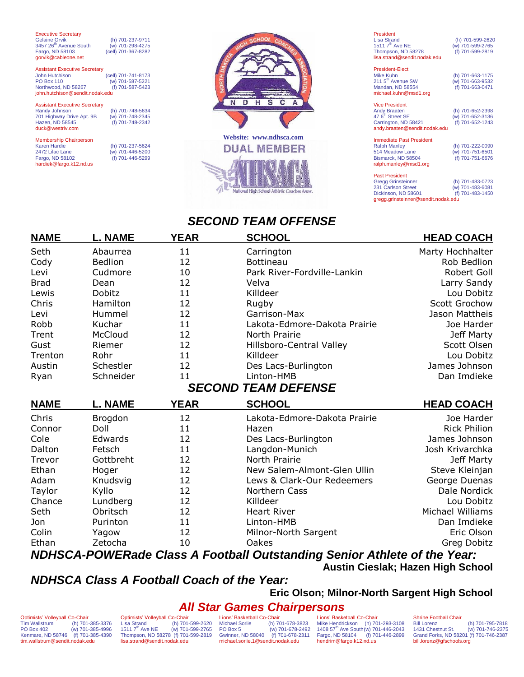| <b>Executive Secretary</b><br>Gelaine Orvik<br>3457 26 <sup>th</sup> Avenue South<br>Fargo, ND 58103<br>gorvik@cableone.net                  | (h) 701-237-9711<br>(w) 701-298-4275<br>(cell) 701-367-8282 |
|----------------------------------------------------------------------------------------------------------------------------------------------|-------------------------------------------------------------|
| <b>Assistant Executive Secretary</b><br><b>John Hutchison</b><br><b>PO Box 110</b><br>Northwood, ND 58267<br>john.hutchison@sendit.nodak.edu | (cell) 701-741-8173<br>(w) 701-587-5221<br>(f) 701-587-5423 |
| <b>Assistant Executive Secretary</b><br><b>Randy Johnson</b><br>701 Highway Drive Apt. 9B<br>Hazen, ND 58545<br>duck@westriv.com             | (h) 701-748-5634<br>(w) 701-748-2345<br>(f) 701-748-2342    |
| <b>Membership Chairperson</b><br>Karen Hardie<br>2472 Lilac Lane<br>Fargo, ND 58102<br>hardiek@fargo.k12.nd.us                               | (h) 701-237-5624<br>(w) 701-446-5200<br>(f) 701-446-5299    |



President<br>Lisa Strand Lisa Strand (h) 701-599-2620<br>1511 7<sup>th</sup> Ave NE (w) 701-599-2765 (w) 701-599-2765<br>(f) 701-599-2819 Thompson, ND 58278 lisa.strand@sendit.nodak.edu

President-Elect Mike Kuhn (h) 701-663-1175 211 5th Avenue SW (w) 701-663-9532 Mandan, ND 58554 (f) 701-663-0471 michael.kuhn@msd1.org

| <b>Vice President</b>         |                  |
|-------------------------------|------------------|
| <b>Andy Braaten</b>           | (h) 701-652-2398 |
| 47 6 <sup>th</sup> Street SE  | (w) 701-652-3136 |
| Carrington, ND 58421          | (f) 701-652-1243 |
| andy.braaten@sendit.nodak.edu |                  |
|                               |                  |

Immediate Past President Ralph Manley (h) 701-222-0090 514 Meadow Lane (w) 701-751-6501 Bismarck, ND 58504 (f) 701-751-6676 ralph.manley@msd1.org

Past President Gregg Grinsteinner (h) 701-483-0723 231 Carlson Street (w) 701-483-6081 Dickinson, ND 58601 (f) 701-483-1450 gregg.grinsteinner@sendit.nodak.edu

### *SECOND TEAM OFFENSE*

| <b>NAME</b> | <b>L. NAME</b> | <b>YEAR</b> | <b>SCHOOL</b>                | <b>HEAD COACH</b>   |
|-------------|----------------|-------------|------------------------------|---------------------|
| Seth        | Abaurrea       | 11          | Carrington                   | Marty Hochhalter    |
| Cody        | <b>Bedlion</b> | 12          | <b>Bottineau</b>             | Rob Bedlion         |
| Levi        | Cudmore        | 10          | Park River-Fordville-Lankin  | Robert Goll         |
| <b>Brad</b> | Dean           | 12          | Velva                        | Larry Sandy         |
| Lewis       | Dobitz         | 11          | Killdeer                     | Lou Dobitz          |
| Chris       | Hamilton       | 12          | Rugby                        | Scott Grochow       |
| Levi        | Hummel         | 12          | Garrison-Max                 | Jason Mattheis      |
| Robb        | Kuchar         | 11          | Lakota-Edmore-Dakota Prairie | Joe Harder          |
| Trent       | McCloud        | 12          | North Prairie                | Jeff Marty          |
| Gust        | Riemer         | 12          | Hillsboro-Central Valley     | Scott Olsen         |
| Trenton     | Rohr           | 11          | Killdeer                     | Lou Dobitz          |
| Austin      | Schestler      | 12          | Des Lacs-Burlington          | James Johnson       |
| Ryan        | Schneider      | 11          | Linton-HMB                   | Dan Imdieke         |
|             |                |             | <b>SECOND TEAM DEFENSE</b>   |                     |
| <b>NAME</b> | <b>L. NAME</b> | <b>YEAR</b> | <b>SCHOOL</b>                | <b>HEAD COACH</b>   |
| Chris       | <b>Brogdon</b> | 12          | Lakota-Edmore-Dakota Prairie | Joe Harder          |
| Connor      | Doll           | 11          | Hazen                        | <b>Rick Philion</b> |
| Cole        | Edwards        | 12          | Des Lacs-Burlington          | James Johnson       |
| Dalton      | Fetsch         | 11          | Langdon-Munich               | Josh Krivarchka     |
| Trevor      | Gottbreht      | 12          | North Prairie                | Jeff Marty          |
| Ethan       | Hoger          | 12          | New Salem-Almont-Glen Ullin  | Steve Kleinjan      |
| Adam        | Knudsvig       | 12          | Lews & Clark-Our Redeemers   | George Duenas       |
| Taylor      | Kyllo          | 12          | Northern Cass                | Dale Nordick        |
| Chance      | Lundberg       | 12          | Killdeer                     | Lou Dobitz          |
| Seth        | Obritsch       | 12          | <b>Heart River</b>           | Michael Williams    |
| Jon         | Purinton       | 11          | Linton-HMB                   | Dan Imdieke         |

Ethan Zetocha 10 Oakes Greg Dobitz *NDHSCA-POWERade Class A Football Outstanding Senior Athlete of the Year:*

Colin Yagow 12 Milnor-North Sargent Eric Olson

**Austin Cieslak; Hazen High School**

### *NDHSCA Class A Football Coach of the Year:*

**Eric Olson; Milnor-North Sargent High School**

### *All Star Games Chairpersons*

Optimists' Volleyball Co-Chair<br>Tim Wallstrum (h) 701 Tim Wallstrum (h) 701-385-3376<br>PO Box 402 (w) 701-385-4996  $(w)$  701-385-4996 Kenmare, ND 58746 (f) 701-385-4390 tim.wallstrum@sendit.nodak.edu

Optimists' Volleyball Co-Chair<br>Lisa Strand (h) 701-Lisa Strand (h) 701-599-2620<br>1511 7<sup>th</sup> Ave NE (w) 701-599-2765  $(w)$  701-599-2765 Thompson, ND 58278 (f) 701-599-2819 lisa.strand@sendit.nodak.edu

Lions' Basketball Co-Chair<br>Michael Sorlie (h) 70

Michael Sorlie (h) 701-678-3823<br>PO Box 5 (w) 701-678-2492  $(w)$  701-678-2492 Gwinner, ND 58040 (f) 701-678-2311 michael.sorlie.1@sendit.nodak.edu

Lions' Basketball Co-Chair Mike Hendrickson (h) 701-293-3108 1408 57<sup>th</sup> Ave South(w) 701-446-2043 Fargo, ND 58104 (f) 701-446-2899 hendrim@fargo.k12.nd.us

Shrine Football Chair<br>Bill Lorenz Bill Lorenz (h) 701-795-7818<br>1431 Chestnut St. (w) 701-746-2375  $(w)$  701-746-2375 Grand Forks, ND 58201 (f) 701-746-2387 bill.lorenz@gfschools.org